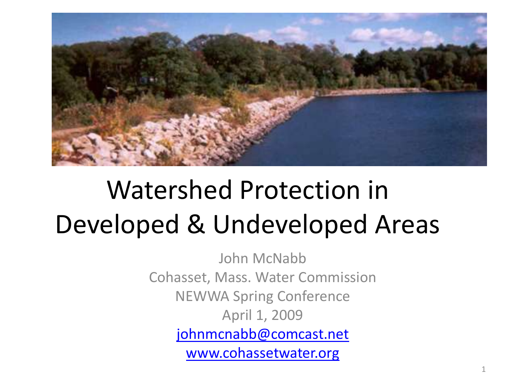

#### Watershed Protection in Developed & Undeveloped Areas

John McNabb Cohasset, Mass. Water Commission NEWWA Spring Conference April 1, 2009 [johnmcnabb@comcast.net](mailto:johnmcnabb@comcast.net) [www.cohassetwater.org](http://www.cohassetwater.org/)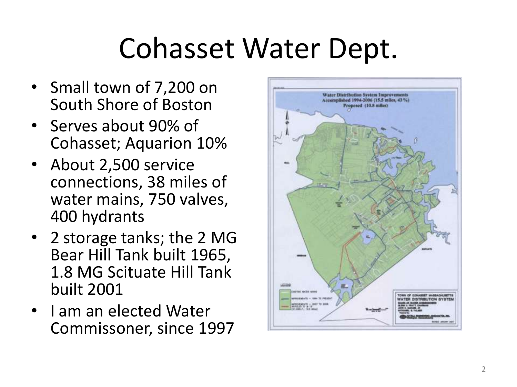## Cohasset Water Dept.

- Small town of 7,200 on South Shore of Boston
- Serves about 90% of Cohasset; Aquarion 10%
- About 2,500 service connections, 38 miles of water mains, 750 valves, 400 hydrants
- 2 storage tanks; the 2 MG Bear Hill Tank built 1965, 1.8 MG Scituate Hill Tank built 2001
- I am an elected Water Commissoner, since 1997

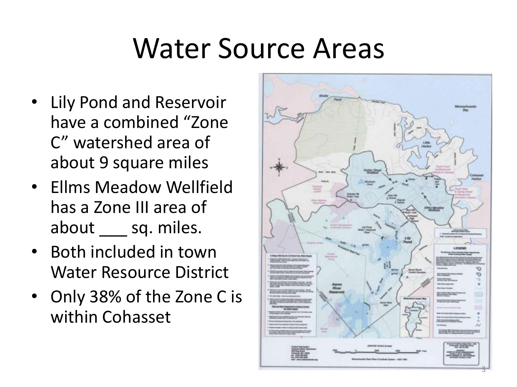#### Water Source Areas

- Lily Pond and Reservoir have a combined "Zone C" watershed area of about 9 square miles
- Ellms Meadow Wellfield has a Zone III area of about \_\_\_ sq. miles.
- Both included in town Water Resource District
- Only 38% of the Zone C is within Cohasset

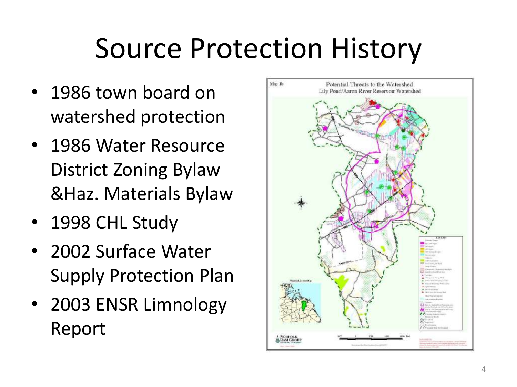# Source Protection History

- 1986 town board on watershed protection
- 1986 Water Resource District Zoning Bylaw &Haz. Materials Bylaw
- 1998 CHL Study
- 2002 Surface Water Supply Protection Plan
- 2003 ENSR Limnology Report

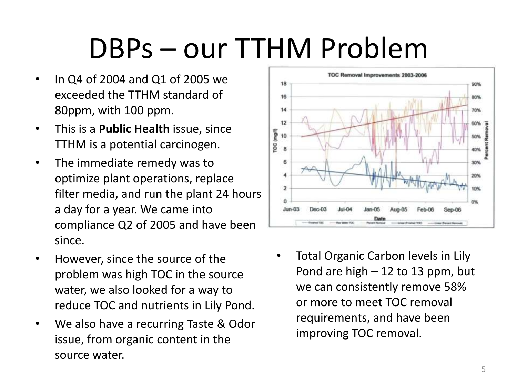## DBPs – our TTHM Problem

- In Q4 of 2004 and Q1 of 2005 we exceeded the TTHM standard of 80ppm, with 100 ppm.
- This is a **Public Health** issue, since TTHM is a potential carcinogen.
- The immediate remedy was to optimize plant operations, replace filter media, and run the plant 24 hours a day for a year. We came into compliance Q2 of 2005 and have been since.
- However, since the source of the problem was high TOC in the source water, we also looked for a way to reduce TOC and nutrients in Lily Pond.
- We also have a recurring Taste & Odor issue, from organic content in the source water.



Total Organic Carbon levels in Lily Pond are high  $-12$  to 13 ppm, but we can consistently remove 58% or more to meet TOC removal requirements, and have been improving TOC removal.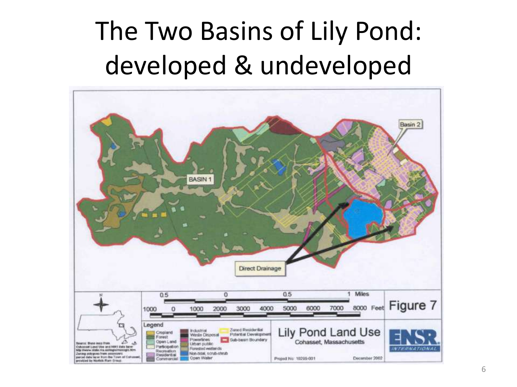#### The Two Basins of Lily Pond: developed & undeveloped

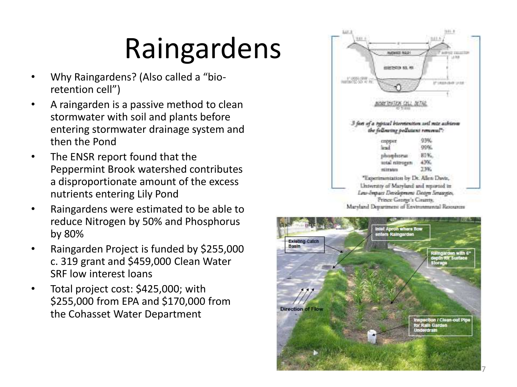- Why Raingardens? (Also called a "bio retention cell")
- A raingarden is a passive method to clean stormwater with soil and plants before entering stormwater drainage system and then the Pond
- The ENSR report found that the Peppermint Brook watershed contributes a disproportionate amount of the excess nutrients entering Lily Pond
- Raingardens were estimated to be able to reduce Nitrogen by 50% and Phosphorus by 80%
- Raingarden Project is funded by \$255,000 c. 319 grant and \$459,000 Clean Water SRF low interest loans
- Total project cost: \$425,000; with \$255,000 from EPA and \$170,000 from the Cohasset Water Department





7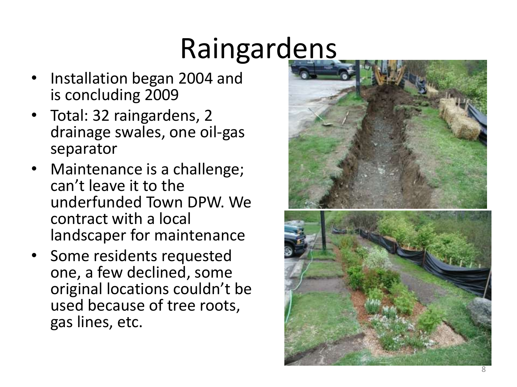- Installation began 2004 and is concluding 2009
- Total: 32 raingardens, 2 drainage swales, one oil -gas separator
- Maintenance is a challenge; can't leave it to the underfunded Town DPW. We contract with a local landscaper for maintenance
- Some residents requested one, a few declined, some original locations couldn't be used because of tree roots, gas lines, etc.

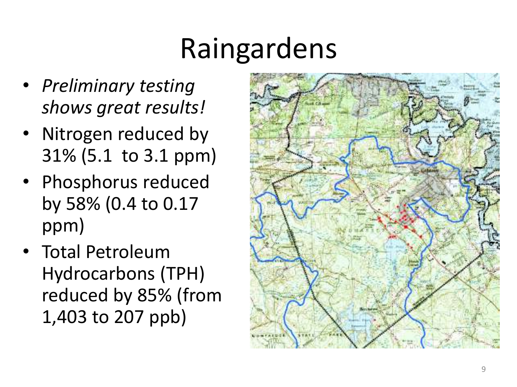- *Preliminary testing shows great results!*
- Nitrogen reduced by 31% (5.1 to 3.1 ppm)
- Phosphorus reduced by 58% (0.4 to 0.17 ppm)
- Total Petroleum Hydrocarbons (TPH) reduced by 85% (from 1,403 to 207 ppb)

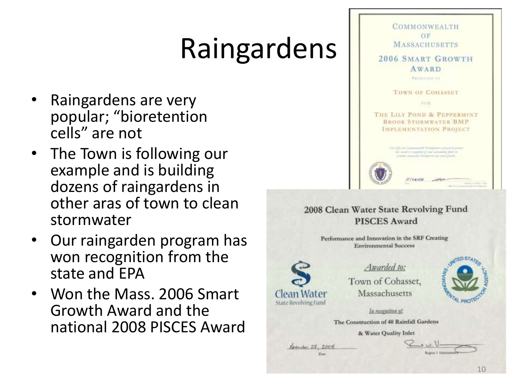- Raingardens are very popular; "bioretention cells" are not
- The Town is following our example and is building dozens of raingardens in other aras of town to clean stormwater
- Our raingarden program has won recognition from the state and EPA
- Won the Mass. 2006 Smart Growth Award and the national 2008 PISCES Award



& Water Quality Inlet

Absenber 28, 2008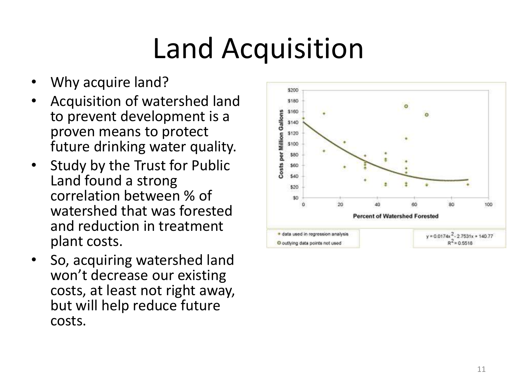# Land Acquisition

- Why acquire land?
- Acquisition of watershed land to prevent development is a proven means to protect future drinking water quality.
- Study by the Trust for Public Land found a strong correlation between % of watershed that was forested and reduction in treatment plant costs.
- So, acquiring watershed land won't decrease our existing costs, at least not right away, but will help reduce future costs.

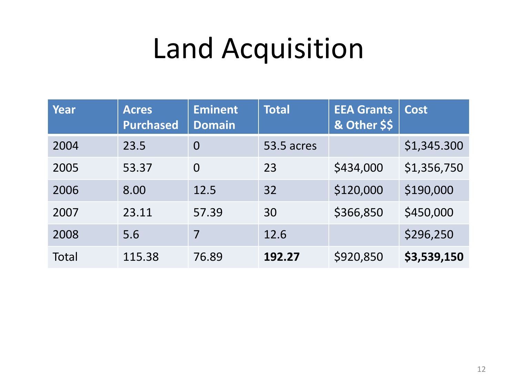## Land Acquisition

| Year         | <b>Acres</b><br><b>Purchased</b> | <b>Eminent</b><br><b>Domain</b> | <b>Total</b> | <b>EEA Grants</b><br>& Other \$\$ | <b>Cost</b> |
|--------------|----------------------------------|---------------------------------|--------------|-----------------------------------|-------------|
| 2004         | 23.5                             | $\overline{0}$                  | 53.5 acres   |                                   | \$1,345.300 |
| 2005         | 53.37                            | $\overline{0}$                  | 23           | \$434,000                         | \$1,356,750 |
| 2006         | 8.00                             | 12.5                            | 32           | \$120,000                         | \$190,000   |
| 2007         | 23.11                            | 57.39                           | 30           | \$366,850                         | \$450,000   |
| 2008         | 5.6                              | 7                               | 12.6         |                                   | \$296,250   |
| <b>Total</b> | 115.38                           | 76.89                           | 192.27       | \$920,850                         | \$3,539,150 |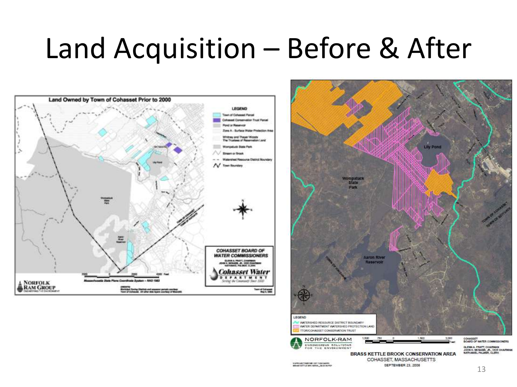#### Land Acquisition – Before & After



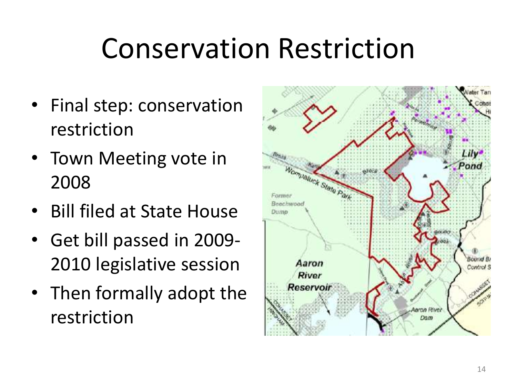## Conservation Restriction

- Final step: conservation restriction
- Town Meeting vote in 2008
- Bill filed at State House
- Get bill passed in 2009- 2010 legislative session
- Then formally adopt the restriction